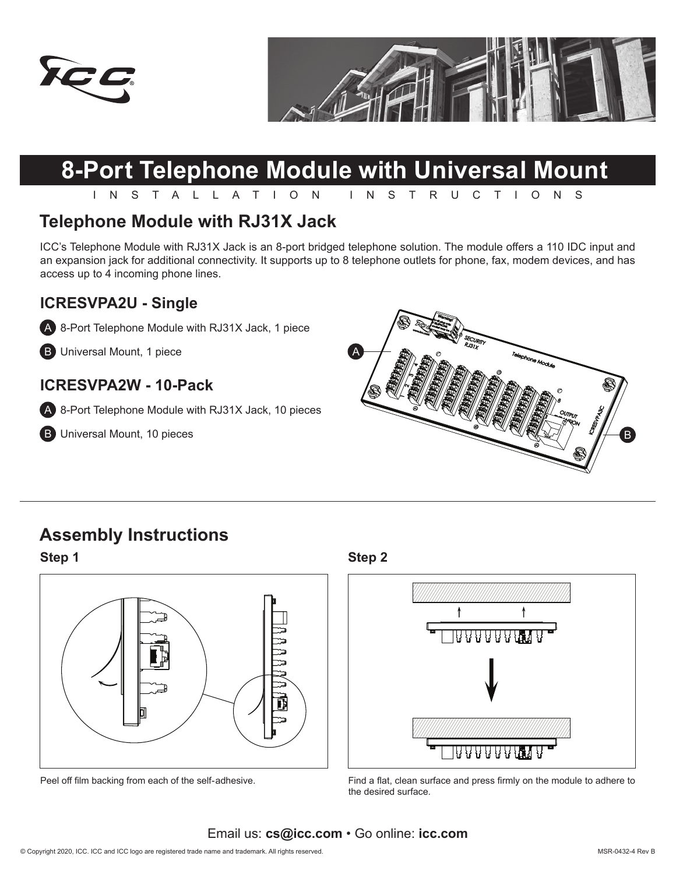



# **8-Port Telephone Module with Universal Mount**

INSTALLATION INSTRUCTIONS

## **Telephone Module with RJ31X Jack**

ICC's Telephone Module with RJ31X Jack is an 8-port bridged telephone solution. The module offers a 110 IDC input and an expansion jack for additional connectivity. It supports up to 8 telephone outlets for phone, fax, modem devices, and has access up to 4 incoming phone lines.

#### **ICRESVPA2U - Single**

A 8-Port Telephone Module with RJ31X Jack, 1 piece

**B** Universal Mount, 1 piece

### **ICRESVPA2W - 10-Pack**

A 8-Port Telephone Module with RJ31X Jack, 10 pieces

**B** Universal Mount, 10 pieces



# **Assembly Instructions**



**Step 1 Step 2**



Peel off film backing from each of the self-adhesive. Find a flat, clean surface and press firmly on the module to adhere to the desired surface.

Email us: **cs@icc.com** • Go online: **icc.com**